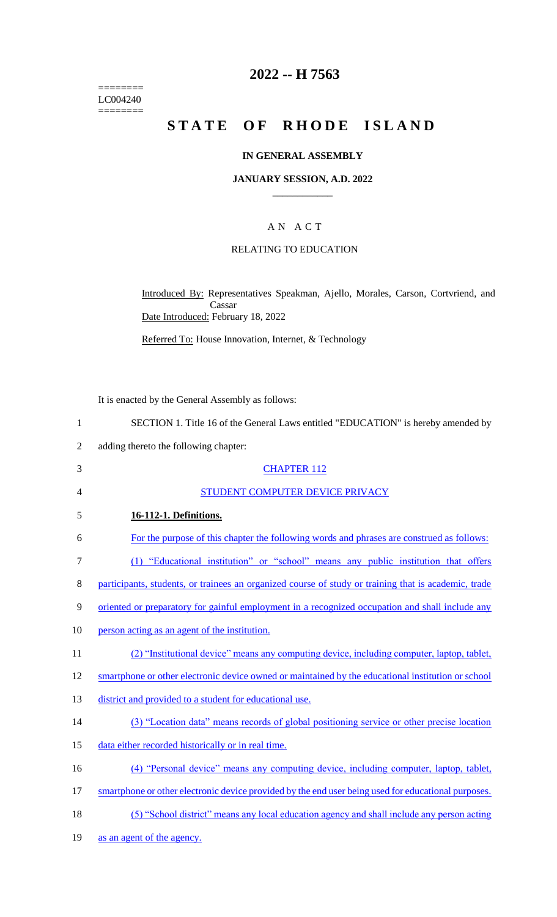======== LC004240  $=$ 

# **2022 -- H 7563**

# STATE OF RHODE ISLAND

## **IN GENERAL ASSEMBLY**

### **JANUARY SESSION, A.D. 2022 \_\_\_\_\_\_\_\_\_\_\_\_**

# A N A C T

## RELATING TO EDUCATION

Introduced By: Representatives Speakman, Ajello, Morales, Carson, Cortvriend, and Cassar Date Introduced: February 18, 2022

Referred To: House Innovation, Internet, & Technology

It is enacted by the General Assembly as follows:

|                | It is enacted by the Ocheral Assembly as follows.                                                    |
|----------------|------------------------------------------------------------------------------------------------------|
| $\mathbf{1}$   | SECTION 1. Title 16 of the General Laws entitled "EDUCATION" is hereby amended by                    |
| $\overline{2}$ | adding thereto the following chapter:                                                                |
| 3              | <b>CHAPTER 112</b>                                                                                   |
| 4              | STUDENT COMPUTER DEVICE PRIVACY                                                                      |
| 5              | 16-112-1. Definitions.                                                                               |
| 6              | For the purpose of this chapter the following words and phrases are construed as follows:            |
| $\tau$         | (1) "Educational institution" or "school" means any public institution that offers                   |
| 8              | participants, students, or trainees an organized course of study or training that is academic, trade |
| 9              | oriented or preparatory for gainful employment in a recognized occupation and shall include any      |
| 10             | person acting as an agent of the institution.                                                        |
| 11             | (2) "Institutional device" means any computing device, including computer, laptop, tablet,           |
| 12             | smartphone or other electronic device owned or maintained by the educational institution or school   |
| 13             | district and provided to a student for educational use.                                              |
| 14             | (3) "Location data" means records of global positioning service or other precise location            |
| 15             | data either recorded historically or in real time.                                                   |
| 16             | (4) "Personal device" means any computing device, including computer, laptop, tablet,                |
| 17             | smartphone or other electronic device provided by the end user being used for educational purposes.  |
| 18             | (5) "School district" means any local education agency and shall include any person acting           |
| 19             | as an agent of the agency.                                                                           |
|                |                                                                                                      |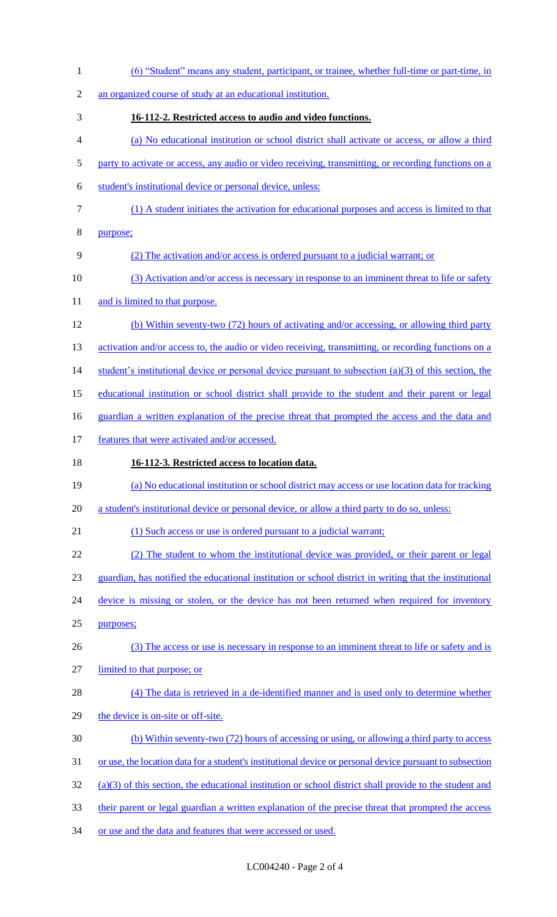| $\mathbf{1}$   | (6) "Student" means any student, participant, or trainee, whether full-time or part-time, in              |
|----------------|-----------------------------------------------------------------------------------------------------------|
| $\overline{2}$ | an organized course of study at an educational institution.                                               |
| 3              | 16-112-2. Restricted access to audio and video functions.                                                 |
| 4              | (a) No educational institution or school district shall activate or access, or allow a third              |
| 5              | party to activate or access, any audio or video receiving, transmitting, or recording functions on a      |
| 6              | student's institutional device or personal device, unless:                                                |
| $\tau$         | (1) A student initiates the activation for educational purposes and access is limited to that             |
| 8              | purpose;                                                                                                  |
| 9              | (2) The activation and/or access is ordered pursuant to a judicial warrant; or                            |
| 10             | (3) Activation and/or access is necessary in response to an imminent threat to life or safety             |
| 11             | and is limited to that purpose.                                                                           |
| 12             | (b) Within seventy-two (72) hours of activating and/or accessing, or allowing third party                 |
| 13             | activation and/or access to, the audio or video receiving, transmitting, or recording functions on a      |
| 14             | student's institutional device or personal device pursuant to subsection $(a)(3)$ of this section, the    |
| 15             | educational institution or school district shall provide to the student and their parent or legal         |
| 16             | guardian a written explanation of the precise threat that prompted the access and the data and            |
| 17             | features that were activated and/or accessed.                                                             |
|                |                                                                                                           |
| 18             | 16-112-3. Restricted access to location data.                                                             |
| 19             | (a) No educational institution or school district may access or use location data for tracking            |
| 20             | a student's institutional device or personal device, or allow a third party to do so, unless:             |
| 21             | (1) Such access or use is ordered pursuant to a judicial warrant;                                         |
| 22             | (2) The student to whom the institutional device was provided, or their parent or legal                   |
| 23             | guardian, has notified the educational institution or school district in writing that the institutional   |
|                | device is missing or stolen, or the device has not been returned when required for inventory              |
| 24<br>25       | purposes;                                                                                                 |
| 26             | (3) The access or use is necessary in response to an imminent threat to life or safety and is             |
| 27             | limited to that purpose; or                                                                               |
| 28             | (4) The data is retrieved in a de-identified manner and is used only to determine whether                 |
| 29             | the device is on-site or off-site.                                                                        |
| 30             | (b) Within seventy-two (72) hours of accessing or using, or allowing a third party to access              |
| 31             | or use, the location data for a student's institutional device or personal device pursuant to subsection  |
| 32             | $(a)(3)$ of this section, the educational institution or school district shall provide to the student and |
| 33             | their parent or legal guardian a written explanation of the precise threat that prompted the access       |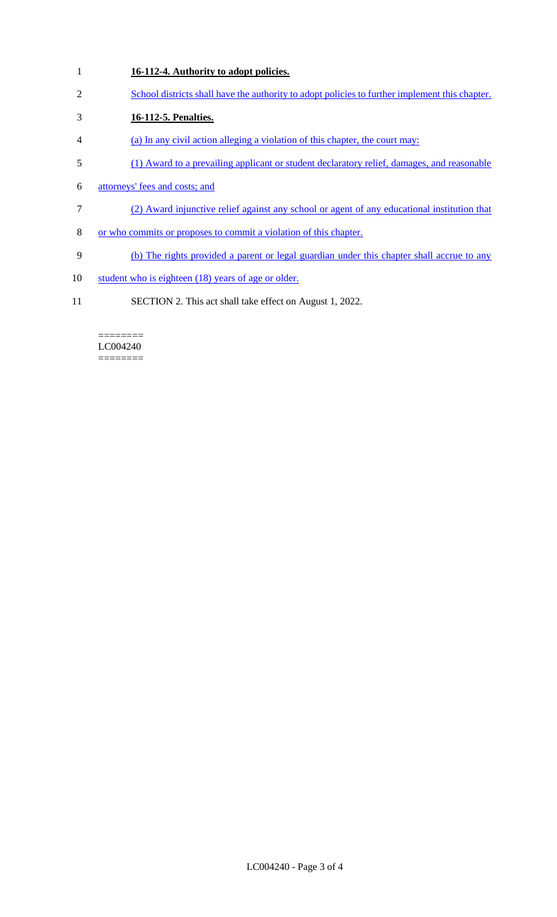- **16-112-4. Authority to adopt policies.**
- School districts shall have the authority to adopt policies to further implement this chapter.
- **16-112-5. Penalties.**
- (a) In any civil action alleging a violation of this chapter, the court may:
- (1) Award to a prevailing applicant or student declaratory relief, damages, and reasonable
- attorneys' fees and costs; and
- (2) Award injunctive relief against any school or agent of any educational institution that
- or who commits or proposes to commit a violation of this chapter.
- (b) The rights provided a parent or legal guardian under this chapter shall accrue to any
- 10 student who is eighteen (18) years of age or older.
- SECTION 2. This act shall take effect on August 1, 2022.

#### ======== LC004240 ========